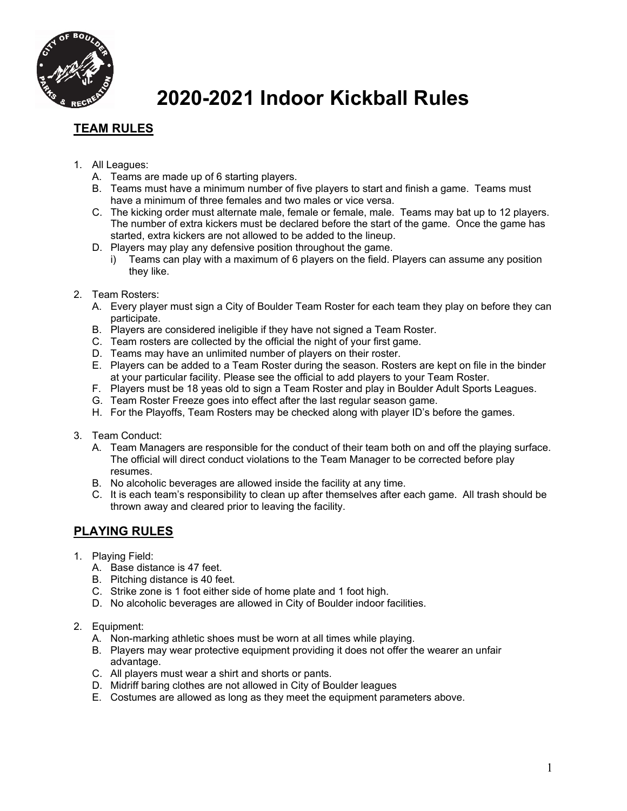

# **2020-2021 Indoor Kickball Rules**

# **TEAM RULES**

- 1. All Leagues:
	- A. Teams are made up of 6 starting players.
	- B. Teams must have a minimum number of five players to start and finish a game. Teams must have a minimum of three females and two males or vice versa.
	- C. The kicking order must alternate male, female or female, male. Teams may bat up to 12 players. The number of extra kickers must be declared before the start of the game. Once the game has started, extra kickers are not allowed to be added to the lineup.
	- D. Players may play any defensive position throughout the game.
		- i) Teams can play with a maximum of 6 players on the field. Players can assume any position they like.
- 2. Team Rosters:
	- A. Every player must sign a City of Boulder Team Roster for each team they play on before they can participate.
	- B. Players are considered ineligible if they have not signed a Team Roster.
	- C. Team rosters are collected by the official the night of your first game.
	- D. Teams may have an unlimited number of players on their roster.
	- E. Players can be added to a Team Roster during the season. Rosters are kept on file in the binder at your particular facility. Please see the official to add players to your Team Roster.
	- F. Players must be 18 yeas old to sign a Team Roster and play in Boulder Adult Sports Leagues.
	- G. Team Roster Freeze goes into effect after the last regular season game.
	- H. For the Playoffs, Team Rosters may be checked along with player ID's before the games.
- 3. Team Conduct:
	- A. Team Managers are responsible for the conduct of their team both on and off the playing surface. The official will direct conduct violations to the Team Manager to be corrected before play resumes.
	- B. No alcoholic beverages are allowed inside the facility at any time.
	- C. It is each team's responsibility to clean up after themselves after each game. All trash should be thrown away and cleared prior to leaving the facility.

# **PLAYING RULES**

- 1. Playing Field:
	- A. Base distance is 47 feet.
	- B. Pitching distance is 40 feet.
	- C. Strike zone is 1 foot either side of home plate and 1 foot high.
	- D. No alcoholic beverages are allowed in City of Boulder indoor facilities.
- 2. Equipment:
	- A. Non-marking athletic shoes must be worn at all times while playing.
	- B. Players may wear protective equipment providing it does not offer the wearer an unfair advantage.
	- C. All players must wear a shirt and shorts or pants.
	- D. Midriff baring clothes are not allowed in City of Boulder leagues
	- E. Costumes are allowed as long as they meet the equipment parameters above.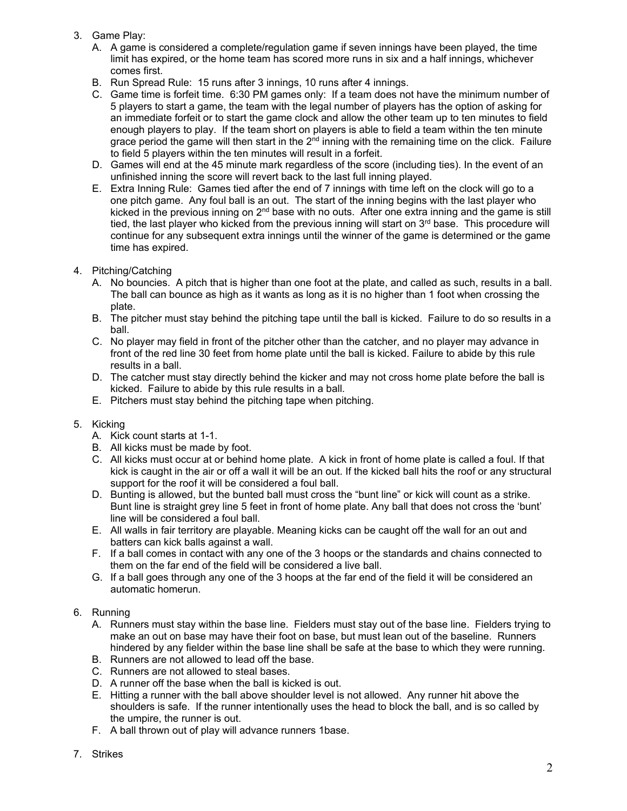- 3. Game Play:
	- A. A game is considered a complete/regulation game if seven innings have been played, the time limit has expired, or the home team has scored more runs in six and a half innings, whichever comes first.
	- B. Run Spread Rule: 15 runs after 3 innings, 10 runs after 4 innings.
	- C. Game time is forfeit time. 6:30 PM games only: If a team does not have the minimum number of 5 players to start a game, the team with the legal number of players has the option of asking for an immediate forfeit or to start the game clock and allow the other team up to ten minutes to field enough players to play. If the team short on players is able to field a team within the ten minute grace period the game will then start in the 2<sup>nd</sup> inning with the remaining time on the click. Failure to field 5 players within the ten minutes will result in a forfeit.
	- D. Games will end at the 45 minute mark regardless of the score (including ties). In the event of an unfinished inning the score will revert back to the last full inning played.
	- E. Extra Inning Rule: Games tied after the end of 7 innings with time left on the clock will go to a one pitch game. Any foul ball is an out. The start of the inning begins with the last player who kicked in the previous inning on 2<sup>nd</sup> base with no outs. After one extra inning and the game is still tied, the last player who kicked from the previous inning will start on  $3<sup>rd</sup>$  base. This procedure will continue for any subsequent extra innings until the winner of the game is determined or the game time has expired.
- 4. Pitching/Catching
	- A. No bouncies. A pitch that is higher than one foot at the plate, and called as such, results in a ball. The ball can bounce as high as it wants as long as it is no higher than 1 foot when crossing the plate.
	- B. The pitcher must stay behind the pitching tape until the ball is kicked. Failure to do so results in a ball.
	- C. No player may field in front of the pitcher other than the catcher, and no player may advance in front of the red line 30 feet from home plate until the ball is kicked. Failure to abide by this rule results in a ball.
	- D. The catcher must stay directly behind the kicker and may not cross home plate before the ball is kicked. Failure to abide by this rule results in a ball.
	- E. Pitchers must stay behind the pitching tape when pitching.

### 5. Kicking

- A. Kick count starts at 1-1.
- B. All kicks must be made by foot.
- C. All kicks must occur at or behind home plate. A kick in front of home plate is called a foul. If that kick is caught in the air or off a wall it will be an out. If the kicked ball hits the roof or any structural support for the roof it will be considered a foul ball.
- D. Bunting is allowed, but the bunted ball must cross the "bunt line" or kick will count as a strike. Bunt line is straight grey line 5 feet in front of home plate. Any ball that does not cross the 'bunt' line will be considered a foul ball.
- E. All walls in fair territory are playable. Meaning kicks can be caught off the wall for an out and batters can kick balls against a wall.
- F. If a ball comes in contact with any one of the 3 hoops or the standards and chains connected to them on the far end of the field will be considered a live ball.
- G. If a ball goes through any one of the 3 hoops at the far end of the field it will be considered an automatic homerun.

### 6. Running

- A. Runners must stay within the base line. Fielders must stay out of the base line. Fielders trying to make an out on base may have their foot on base, but must lean out of the baseline. Runners hindered by any fielder within the base line shall be safe at the base to which they were running.
- B. Runners are not allowed to lead off the base.
- C. Runners are not allowed to steal bases.
- D. A runner off the base when the ball is kicked is out.
- E. Hitting a runner with the ball above shoulder level is not allowed. Any runner hit above the shoulders is safe. If the runner intentionally uses the head to block the ball, and is so called by the umpire, the runner is out.
- F. A ball thrown out of play will advance runners 1base.
- 7. Strikes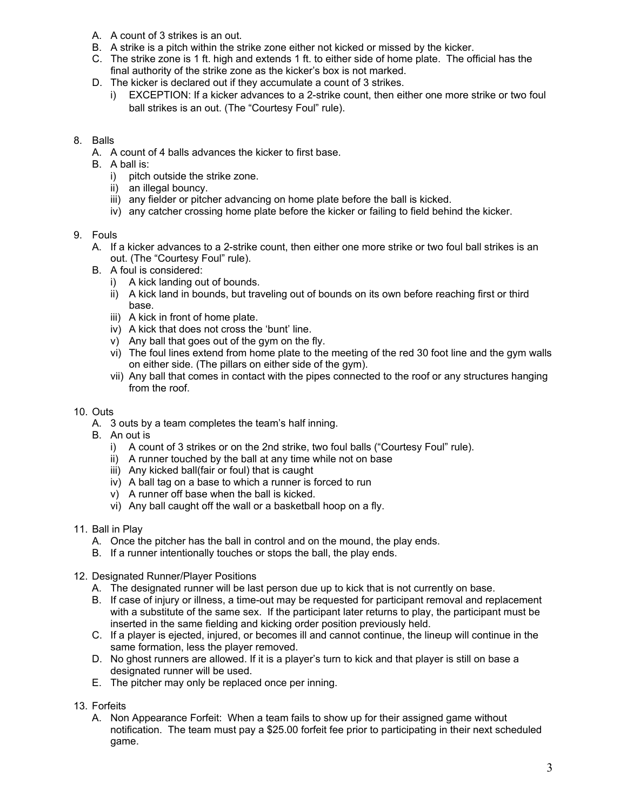- A. A count of 3 strikes is an out.
- B. A strike is a pitch within the strike zone either not kicked or missed by the kicker.
- C. The strike zone is 1 ft. high and extends 1 ft. to either side of home plate. The official has the final authority of the strike zone as the kicker's box is not marked.
- D. The kicker is declared out if they accumulate a count of 3 strikes.
	- i) EXCEPTION: If a kicker advances to a 2-strike count, then either one more strike or two foul ball strikes is an out. (The "Courtesy Foul" rule).

### 8. Balls

- A. A count of 4 balls advances the kicker to first base.
- B. A ball is:
	- i) pitch outside the strike zone.
	- ii) an illegal bouncy.
	- iii) any fielder or pitcher advancing on home plate before the ball is kicked.
	- iv) any catcher crossing home plate before the kicker or failing to field behind the kicker.

### 9. Fouls

- A. If a kicker advances to a 2-strike count, then either one more strike or two foul ball strikes is an out. (The "Courtesy Foul" rule).
- B. A foul is considered:
	- i) A kick landing out of bounds.
	- ii) A kick land in bounds, but traveling out of bounds on its own before reaching first or third base.
	- iii) A kick in front of home plate.
	- iv) A kick that does not cross the 'bunt' line.
	- v) Any ball that goes out of the gym on the fly.
	- vi) The foul lines extend from home plate to the meeting of the red 30 foot line and the gym walls on either side. (The pillars on either side of the gym).
	- vii) Any ball that comes in contact with the pipes connected to the roof or any structures hanging from the roof.

### 10. Outs

- A. 3 outs by a team completes the team's half inning.
- B. An out is
	- i) A count of 3 strikes or on the 2nd strike, two foul balls ("Courtesy Foul" rule).
	- ii) A runner touched by the ball at any time while not on base
	- iii) Any kicked ball(fair or foul) that is caught
	- iv) A ball tag on a base to which a runner is forced to run
	- v) A runner off base when the ball is kicked.
	- vi) Any ball caught off the wall or a basketball hoop on a fly.
- 11. Ball in Play
	- A. Once the pitcher has the ball in control and on the mound, the play ends.
	- B. If a runner intentionally touches or stops the ball, the play ends.
- 12. Designated Runner/Player Positions
	- A. The designated runner will be last person due up to kick that is not currently on base.
	- B. If case of injury or illness, a time-out may be requested for participant removal and replacement with a substitute of the same sex. If the participant later returns to play, the participant must be inserted in the same fielding and kicking order position previously held.
	- C. If a player is ejected, injured, or becomes ill and cannot continue, the lineup will continue in the same formation, less the player removed.
	- D. No ghost runners are allowed. If it is a player's turn to kick and that player is still on base a designated runner will be used.
	- E. The pitcher may only be replaced once per inning.
- 13. Forfeits
	- A. Non Appearance Forfeit: When a team fails to show up for their assigned game without notification. The team must pay a \$25.00 forfeit fee prior to participating in their next scheduled game.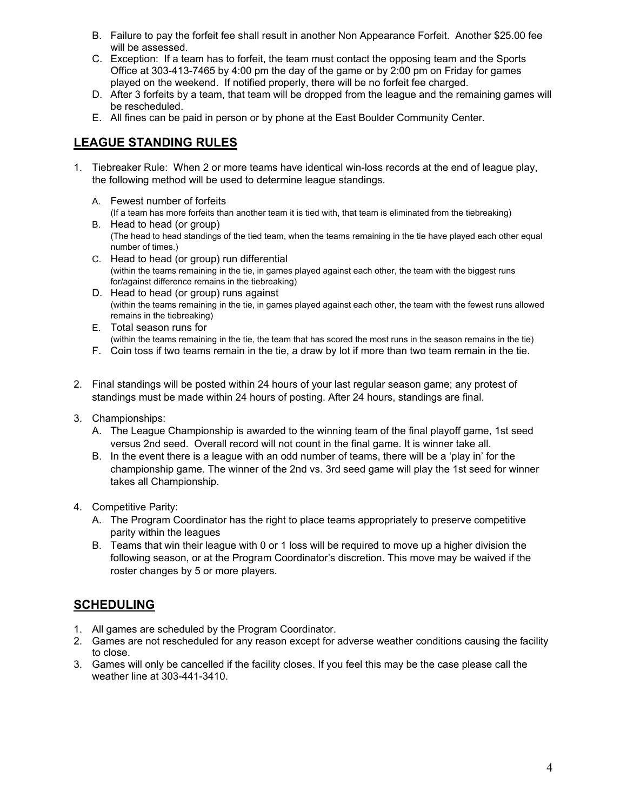- B. Failure to pay the forfeit fee shall result in another Non Appearance Forfeit. Another \$25.00 fee will be assessed.
- C. Exception: If a team has to forfeit, the team must contact the opposing team and the Sports Office at 303-413-7465 by 4:00 pm the day of the game or by 2:00 pm on Friday for games played on the weekend. If notified properly, there will be no forfeit fee charged.
- D. After 3 forfeits by a team, that team will be dropped from the league and the remaining games will be rescheduled.
- E. All fines can be paid in person or by phone at the East Boulder Community Center.

# **LEAGUE STANDING RULES**

- 1. Tiebreaker Rule: When 2 or more teams have identical win-loss records at the end of league play, the following method will be used to determine league standings.
	- A. Fewest number of forfeits (If a team has more forfeits than another team it is tied with, that team is eliminated from the tiebreaking)
	- B. Head to head (or group) (The head to head standings of the tied team, when the teams remaining in the tie have played each other equal number of times.)
	- C. Head to head (or group) run differential (within the teams remaining in the tie, in games played against each other, the team with the biggest runs for/against difference remains in the tiebreaking)
	- D. Head to head (or group) runs against (within the teams remaining in the tie, in games played against each other, the team with the fewest runs allowed remains in the tiebreaking)
	- E. Total season runs for (within the teams remaining in the tie, the team that has scored the most runs in the season remains in the tie)
	- F. Coin toss if two teams remain in the tie, a draw by lot if more than two team remain in the tie.
- 2. Final standings will be posted within 24 hours of your last regular season game; any protest of standings must be made within 24 hours of posting. After 24 hours, standings are final.
- 3. Championships:
	- A. The League Championship is awarded to the winning team of the final playoff game, 1st seed versus 2nd seed. Overall record will not count in the final game. It is winner take all.
	- B. In the event there is a league with an odd number of teams, there will be a 'play in' for the championship game. The winner of the 2nd vs. 3rd seed game will play the 1st seed for winner takes all Championship.
- 4. Competitive Parity:
	- A. The Program Coordinator has the right to place teams appropriately to preserve competitive parity within the leagues
	- B. Teams that win their league with 0 or 1 loss will be required to move up a higher division the following season, or at the Program Coordinator's discretion. This move may be waived if the roster changes by 5 or more players.

# **SCHEDULING**

- 1. All games are scheduled by the Program Coordinator.
- 2. Games are not rescheduled for any reason except for adverse weather conditions causing the facility to close.
- 3. Games will only be cancelled if the facility closes. If you feel this may be the case please call the weather line at 303-441-3410.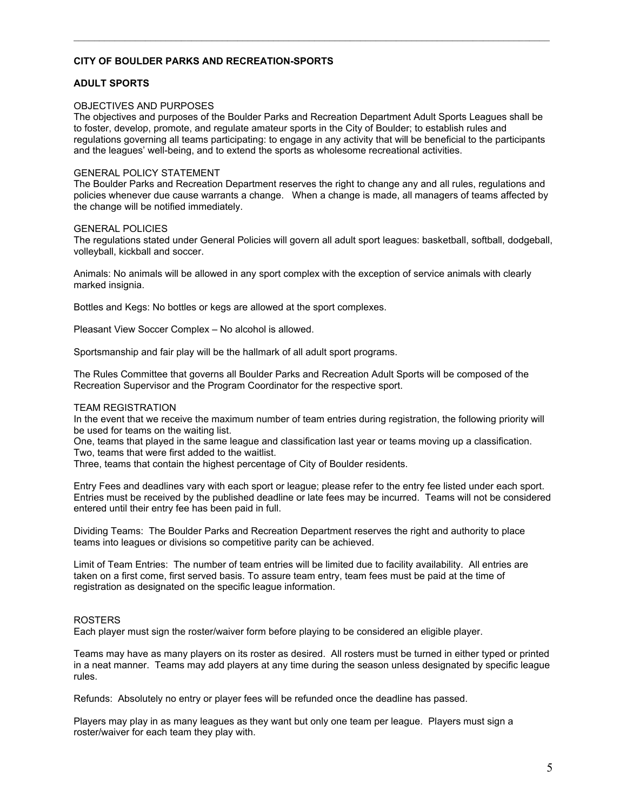#### **CITY OF BOULDER PARKS AND RECREATION-SPORTS**

#### **ADULT SPORTS**

#### OBJECTIVES AND PURPOSES

The objectives and purposes of the Boulder Parks and Recreation Department Adult Sports Leagues shall be to foster, develop, promote, and regulate amateur sports in the City of Boulder; to establish rules and regulations governing all teams participating: to engage in any activity that will be beneficial to the participants and the leagues' well-being, and to extend the sports as wholesome recreational activities.

 $\mathcal{L}_\mathcal{L} = \mathcal{L}_\mathcal{L} = \mathcal{L}_\mathcal{L} = \mathcal{L}_\mathcal{L} = \mathcal{L}_\mathcal{L} = \mathcal{L}_\mathcal{L} = \mathcal{L}_\mathcal{L} = \mathcal{L}_\mathcal{L} = \mathcal{L}_\mathcal{L} = \mathcal{L}_\mathcal{L} = \mathcal{L}_\mathcal{L} = \mathcal{L}_\mathcal{L} = \mathcal{L}_\mathcal{L} = \mathcal{L}_\mathcal{L} = \mathcal{L}_\mathcal{L} = \mathcal{L}_\mathcal{L} = \mathcal{L}_\mathcal{L}$ 

#### GENERAL POLICY STATEMENT

The Boulder Parks and Recreation Department reserves the right to change any and all rules, regulations and policies whenever due cause warrants a change. When a change is made, all managers of teams affected by the change will be notified immediately.

#### GENERAL POLICIES

The regulations stated under General Policies will govern all adult sport leagues: basketball, softball, dodgeball, volleyball, kickball and soccer.

Animals: No animals will be allowed in any sport complex with the exception of service animals with clearly marked insignia.

Bottles and Kegs: No bottles or kegs are allowed at the sport complexes.

Pleasant View Soccer Complex – No alcohol is allowed.

Sportsmanship and fair play will be the hallmark of all adult sport programs.

The Rules Committee that governs all Boulder Parks and Recreation Adult Sports will be composed of the Recreation Supervisor and the Program Coordinator for the respective sport.

#### TEAM REGISTRATION

In the event that we receive the maximum number of team entries during registration, the following priority will be used for teams on the waiting list.

One, teams that played in the same league and classification last year or teams moving up a classification. Two, teams that were first added to the waitlist.

Three, teams that contain the highest percentage of City of Boulder residents.

Entry Fees and deadlines vary with each sport or league; please refer to the entry fee listed under each sport. Entries must be received by the published deadline or late fees may be incurred. Teams will not be considered entered until their entry fee has been paid in full.

Dividing Teams: The Boulder Parks and Recreation Department reserves the right and authority to place teams into leagues or divisions so competitive parity can be achieved.

Limit of Team Entries: The number of team entries will be limited due to facility availability. All entries are taken on a first come, first served basis. To assure team entry, team fees must be paid at the time of registration as designated on the specific league information.

#### ROSTERS

Each player must sign the roster/waiver form before playing to be considered an eligible player.

Teams may have as many players on its roster as desired. All rosters must be turned in either typed or printed in a neat manner. Teams may add players at any time during the season unless designated by specific league rules.

Refunds: Absolutely no entry or player fees will be refunded once the deadline has passed.

Players may play in as many leagues as they want but only one team per league. Players must sign a roster/waiver for each team they play with.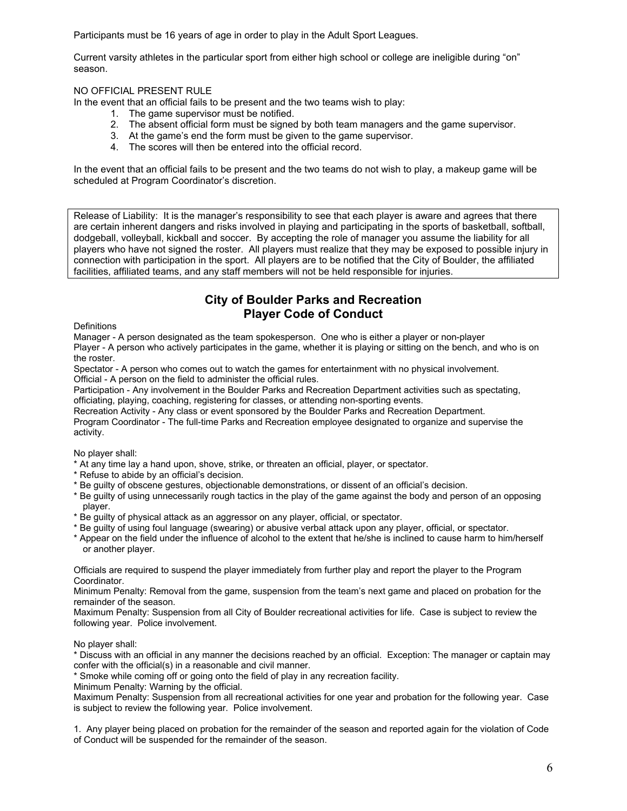Participants must be 16 years of age in order to play in the Adult Sport Leagues.

Current varsity athletes in the particular sport from either high school or college are ineligible during "on" season.

### NO OFFICIAL PRESENT RULE

In the event that an official fails to be present and the two teams wish to play:

- 1. The game supervisor must be notified.
- 2. The absent official form must be signed by both team managers and the game supervisor.
- 3. At the game's end the form must be given to the game supervisor.
- 4. The scores will then be entered into the official record.

In the event that an official fails to be present and the two teams do not wish to play, a makeup game will be scheduled at Program Coordinator's discretion.

Release of Liability: It is the manager's responsibility to see that each player is aware and agrees that there are certain inherent dangers and risks involved in playing and participating in the sports of basketball, softball, dodgeball, volleyball, kickball and soccer. By accepting the role of manager you assume the liability for all players who have not signed the roster. All players must realize that they may be exposed to possible injury in connection with participation in the sport. All players are to be notified that the City of Boulder, the affiliated facilities, affiliated teams, and any staff members will not be held responsible for injuries.

## **City of Boulder Parks and Recreation Player Code of Conduct**

**Definitions** 

Manager - A person designated as the team spokesperson. One who is either a player or non-player

Player - A person who actively participates in the game, whether it is playing or sitting on the bench, and who is on the roster.

Spectator - A person who comes out to watch the games for entertainment with no physical involvement. Official - A person on the field to administer the official rules.

Participation - Any involvement in the Boulder Parks and Recreation Department activities such as spectating, officiating, playing, coaching, registering for classes, or attending non-sporting events.

Recreation Activity - Any class or event sponsored by the Boulder Parks and Recreation Department.

Program Coordinator - The full-time Parks and Recreation employee designated to organize and supervise the activity.

No player shall:

- \* At any time lay a hand upon, shove, strike, or threaten an official, player, or spectator.
- \* Refuse to abide by an official's decision.
- \* Be guilty of obscene gestures, objectionable demonstrations, or dissent of an official's decision.
- \* Be guilty of using unnecessarily rough tactics in the play of the game against the body and person of an opposing player.
- \* Be guilty of physical attack as an aggressor on any player, official, or spectator.
- \* Be guilty of using foul language (swearing) or abusive verbal attack upon any player, official, or spectator.
- \* Appear on the field under the influence of alcohol to the extent that he/she is inclined to cause harm to him/herself or another player.

Officials are required to suspend the player immediately from further play and report the player to the Program Coordinator.

Minimum Penalty: Removal from the game, suspension from the team's next game and placed on probation for the remainder of the season.

Maximum Penalty: Suspension from all City of Boulder recreational activities for life. Case is subject to review the following year. Police involvement.

No player shall:

\* Discuss with an official in any manner the decisions reached by an official. Exception: The manager or captain may confer with the official(s) in a reasonable and civil manner.

\* Smoke while coming off or going onto the field of play in any recreation facility.

Minimum Penalty: Warning by the official.

Maximum Penalty: Suspension from all recreational activities for one year and probation for the following year. Case is subject to review the following year. Police involvement.

1. Any player being placed on probation for the remainder of the season and reported again for the violation of Code of Conduct will be suspended for the remainder of the season.